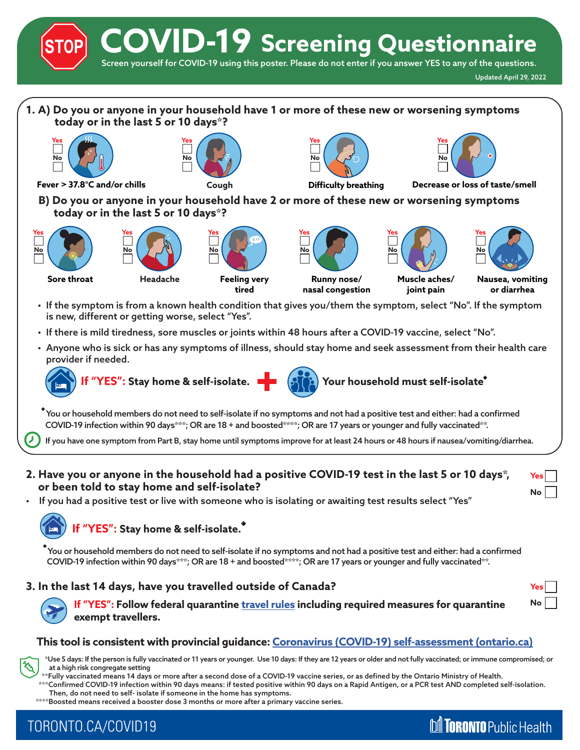**COVID-19 Screening Questionnaire**

Screen yourself for COVID-19 using this poster. Please do not enter if you answer YES to any of the questions.

**M TORONTO** Public Health



### **This tool is consistent with provincial guidance: [Coronavirus \(COVID-19\) self-assessment \(ontario.ca\)](https://covid-19.ontario.ca/self-assessment/)**

 \*Use 5 days: If the person is fully vaccinated or 11 years or younger. Use 10 days: If they are 12 years or older and not fully vaccinated; or immune compromised; or at a high risk congregate setting

\*\*Fully vaccinated means 14 days or more after a second dose of a COVID-19 vaccine series, or as defined by the Ontario Ministry of Health.

 \*\*\*Confirmed COVID-19 infection within 90 days means: if tested positive within 90 days on a Rapid Antigen, or a PCR test AND completed self-isolation. Then, do not need to self- isolate if someone in the home has symptoms.

\*\*\*\*Boosted means received a booster dose 3 months or more after a primary vaccine series.

# TORONTO.CA/COVID19

**exempt travellers.**